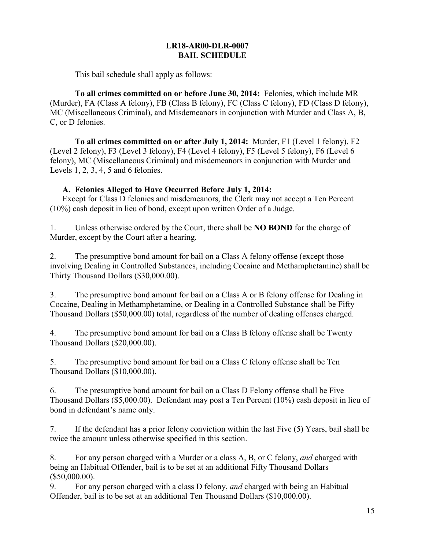#### **LR18-AR00-DLR-0007 BAIL SCHEDULE**

This bail schedule shall apply as follows:

**To all crimes committed on or before June 30, 2014:** Felonies, which include MR (Murder), FA (Class A felony), FB (Class B felony), FC (Class C felony), FD (Class D felony), MC (Miscellaneous Criminal), and Misdemeanors in conjunction with Murder and Class A, B, C, or D felonies.

**To all crimes committed on or after July 1, 2014:** Murder, F1 (Level 1 felony), F2 (Level 2 felony), F3 (Level 3 felony), F4 (Level 4 felony), F5 (Level 5 felony), F6 (Level 6 felony), MC (Miscellaneous Criminal) and misdemeanors in conjunction with Murder and Levels 1, 2, 3, 4, 5 and 6 felonies.

#### **A. Felonies Alleged to Have Occurred Before July 1, 2014:**

Except for Class D felonies and misdemeanors, the Clerk may not accept a Ten Percent (10%) cash deposit in lieu of bond, except upon written Order of a Judge.

1. Unless otherwise ordered by the Court, there shall be **NO BOND** for the charge of Murder, except by the Court after a hearing.

2. The presumptive bond amount for bail on a Class A felony offense (except those involving Dealing in Controlled Substances, including Cocaine and Methamphetamine) shall be Thirty Thousand Dollars (\$30,000.00).

3. The presumptive bond amount for bail on a Class A or B felony offense for Dealing in Cocaine, Dealing in Methamphetamine, or Dealing in a Controlled Substance shall be Fifty Thousand Dollars (\$50,000.00) total, regardless of the number of dealing offenses charged.

4. The presumptive bond amount for bail on a Class B felony offense shall be Twenty Thousand Dollars (\$20,000.00).

5. The presumptive bond amount for bail on a Class C felony offense shall be Ten Thousand Dollars (\$10,000.00).

6. The presumptive bond amount for bail on a Class D Felony offense shall be Five Thousand Dollars (\$5,000.00). Defendant may post a Ten Percent (10%) cash deposit in lieu of bond in defendant's name only.

7. If the defendant has a prior felony conviction within the last Five (5) Years, bail shall be twice the amount unless otherwise specified in this section.

8. For any person charged with a Murder or a class A, B, or C felony, *and* charged with being an Habitual Offender, bail is to be set at an additional Fifty Thousand Dollars (\$50,000.00).

9. For any person charged with a class D felony, *and* charged with being an Habitual Offender, bail is to be set at an additional Ten Thousand Dollars (\$10,000.00).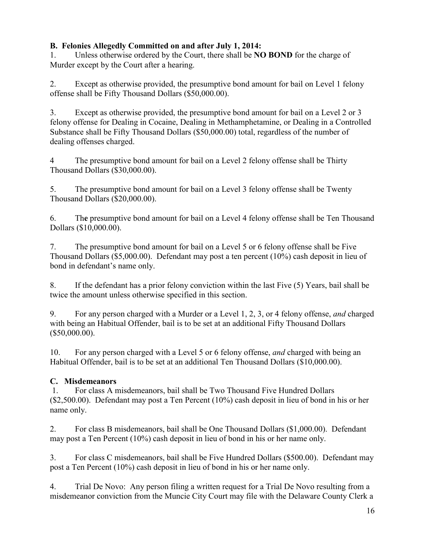## **B. Felonies Allegedly Committed on and after July 1, 2014:**

1. Unless otherwise ordered by the Court, there shall be **NO BOND** for the charge of Murder except by the Court after a hearing.

2. Except as otherwise provided, the presumptive bond amount for bail on Level 1 felony offense shall be Fifty Thousand Dollars (\$50,000.00).

3. Except as otherwise provided, the presumptive bond amount for bail on a Level 2 or 3 felony offense for Dealing in Cocaine, Dealing in Methamphetamine, or Dealing in a Controlled Substance shall be Fifty Thousand Dollars (\$50,000.00) total, regardless of the number of dealing offenses charged.

4 The presumptive bond amount for bail on a Level 2 felony offense shall be Thirty Thousand Dollars (\$30,000.00).

5. The presumptive bond amount for bail on a Level 3 felony offense shall be Twenty Thousand Dollars (\$20,000.00).

6. Th**e** presumptive bond amount for bail on a Level 4 felony offense shall be Ten Thousand Dollars (\$10,000.00).

7. The presumptive bond amount for bail on a Level 5 or 6 felony offense shall be Five Thousand Dollars (\$5,000.00). Defendant may post a ten percent (10%) cash deposit in lieu of bond in defendant's name only.

8. If the defendant has a prior felony conviction within the last Five (5) Years, bail shall be twice the amount unless otherwise specified in this section.

9. For any person charged with a Murder or a Level 1, 2, 3, or 4 felony offense, *and* charged with being an Habitual Offender, bail is to be set at an additional Fifty Thousand Dollars (\$50,000.00).

10. For any person charged with a Level 5 or 6 felony offense, *and* charged with being an Habitual Offender, bail is to be set at an additional Ten Thousand Dollars (\$10,000.00).

# **C. Misdemeanors**

1. For class A misdemeanors, bail shall be Two Thousand Five Hundred Dollars (\$2,500.00). Defendant may post a Ten Percent (10%) cash deposit in lieu of bond in his or her name only.

2. For class B misdemeanors, bail shall be One Thousand Dollars (\$1,000.00). Defendant may post a Ten Percent (10%) cash deposit in lieu of bond in his or her name only.

3. For class C misdemeanors, bail shall be Five Hundred Dollars (\$500.00). Defendant may post a Ten Percent (10%) cash deposit in lieu of bond in his or her name only.

4. Trial De Novo: Any person filing a written request for a Trial De Novo resulting from a misdemeanor conviction from the Muncie City Court may file with the Delaware County Clerk a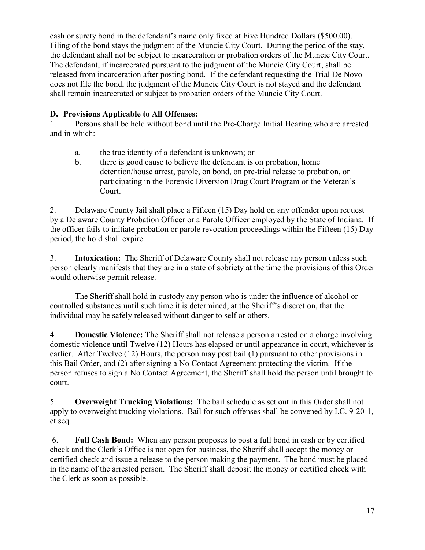cash or surety bond in the defendant's name only fixed at Five Hundred Dollars (\$500.00). Filing of the bond stays the judgment of the Muncie City Court. During the period of the stay, the defendant shall not be subject to incarceration or probation orders of the Muncie City Court. The defendant, if incarcerated pursuant to the judgment of the Muncie City Court, shall be released from incarceration after posting bond. If the defendant requesting the Trial De Novo does not file the bond, the judgment of the Muncie City Court is not stayed and the defendant shall remain incarcerated or subject to probation orders of the Muncie City Court.

### **D. Provisions Applicable to All Offenses:**

1. Persons shall be held without bond until the Pre-Charge Initial Hearing who are arrested and in which:

- a. the true identity of a defendant is unknown; or
- b. there is good cause to believe the defendant is on probation, home detention/house arrest, parole, on bond, on pre-trial release to probation, or participating in the Forensic Diversion Drug Court Program or the Veteran's Court.

2. Delaware County Jail shall place a Fifteen (15) Day hold on any offender upon request by a Delaware County Probation Officer or a Parole Officer employed by the State of Indiana. If the officer fails to initiate probation or parole revocation proceedings within the Fifteen (15) Day period, the hold shall expire.

3. **Intoxication:** The Sheriff of Delaware County shall not release any person unless such person clearly manifests that they are in a state of sobriety at the time the provisions of this Order would otherwise permit release.

The Sheriff shall hold in custody any person who is under the influence of alcohol or controlled substances until such time it is determined, at the Sheriff's discretion, that the individual may be safely released without danger to self or others.

4. **Domestic Violence:** The Sheriff shall not release a person arrested on a charge involving domestic violence until Twelve (12) Hours has elapsed or until appearance in court, whichever is earlier. After Twelve (12) Hours, the person may post bail (1) pursuant to other provisions in this Bail Order, and (2) after signing a No Contact Agreement protecting the victim. If the person refuses to sign a No Contact Agreement, the Sheriff shall hold the person until brought to court.

5. **Overweight Trucking Violations:** The bail schedule as set out in this Order shall not apply to overweight trucking violations. Bail for such offenses shall be convened by I.C. 9-20-1, et seq.

6. **Full Cash Bond:** When any person proposes to post a full bond in cash or by certified check and the Clerk's Office is not open for business, the Sheriff shall accept the money or certified check and issue a release to the person making the payment. The bond must be placed in the name of the arrested person. The Sheriff shall deposit the money or certified check with the Clerk as soon as possible.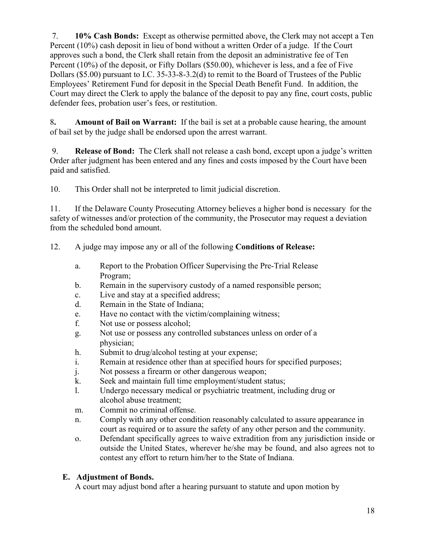7. **10% Cash Bonds:** Except as otherwise permitted above, the Clerk may not accept a Ten Percent (10%) cash deposit in lieu of bond without a written Order of a judge. If the Court approves such a bond, the Clerk shall retain from the deposit an administrative fee of Ten Percent (10%) of the deposit, or Fifty Dollars (\$50.00), whichever is less, and a fee of Five Dollars (\$5.00) pursuant to I.C. 35-33-8-3.2(d) to remit to the Board of Trustees of the Public Employees' Retirement Fund for deposit in the Special Death Benefit Fund. In addition, the Court may direct the Clerk to apply the balance of the deposit to pay any fine, court costs, public defender fees, probation user's fees, or restitution.

8**. Amount of Bail on Warrant:** If the bail is set at a probable cause hearing, the amount of bail set by the judge shall be endorsed upon the arrest warrant.

9. **Release of Bond:** The Clerk shall not release a cash bond, except upon a judge's written Order after judgment has been entered and any fines and costs imposed by the Court have been paid and satisfied.

10. This Order shall not be interpreted to limit judicial discretion.

11. If the Delaware County Prosecuting Attorney believes a higher bond is necessary for the safety of witnesses and/or protection of the community, the Prosecutor may request a deviation from the scheduled bond amount.

- 12. A judge may impose any or all of the following **Conditions of Release:**
	- a. Report to the Probation Officer Supervising the Pre-Trial Release Program;
	- b. Remain in the supervisory custody of a named responsible person;
	- c. Live and stay at a specified address;
	- d. Remain in the State of Indiana;
	- e. Have no contact with the victim/complaining witness;
	- f. Not use or possess alcohol;
	- g. Not use or possess any controlled substances unless on order of a physician;
	- h. Submit to drug/alcohol testing at your expense;
	- i. Remain at residence other than at specified hours for specified purposes;
	- j. Not possess a firearm or other dangerous weapon;
	- k. Seek and maintain full time employment/student status;
	- l. Undergo necessary medical or psychiatric treatment, including drug or alcohol abuse treatment;
	- m. Commit no criminal offense.
	- n. Comply with any other condition reasonably calculated to assure appearance in court as required or to assure the safety of any other person and the community.
	- o. Defendant specifically agrees to waive extradition from any jurisdiction inside or outside the United States, wherever he/she may be found, and also agrees not to contest any effort to return him/her to the State of Indiana.

# **E. Adjustment of Bonds.**

A court may adjust bond after a hearing pursuant to statute and upon motion by